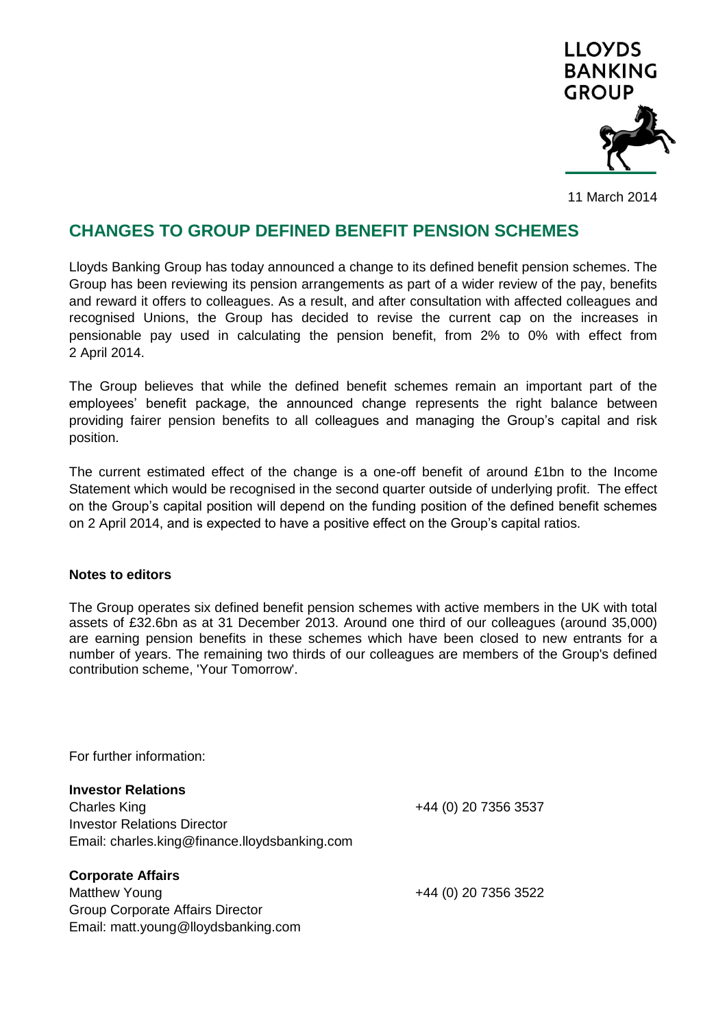

11 March 2014

## **CHANGES TO GROUP DEFINED BENEFIT PENSION SCHEMES**

Lloyds Banking Group has today announced a change to its defined benefit pension schemes. The Group has been reviewing its pension arrangements as part of a wider review of the pay, benefits and reward it offers to colleagues. As a result, and after consultation with affected colleagues and recognised Unions, the Group has decided to revise the current cap on the increases in pensionable pay used in calculating the pension benefit, from 2% to 0% with effect from 2 April 2014.

The Group believes that while the defined benefit schemes remain an important part of the employees' benefit package, the announced change represents the right balance between providing fairer pension benefits to all colleagues and managing the Group's capital and risk position.

The current estimated effect of the change is a one-off benefit of around £1bn to the Income Statement which would be recognised in the second quarter outside of underlying profit. The effect on the Group's capital position will depend on the funding position of the defined benefit schemes on 2 April 2014, and is expected to have a positive effect on the Group's capital ratios.

## **Notes to editors**

The Group operates six defined benefit pension schemes with active members in the UK with total assets of £32.6bn as at 31 December 2013. Around one third of our colleagues (around 35,000) are earning pension benefits in these schemes which have been closed to new entrants for a number of years. The remaining two thirds of our colleagues are members of the Group's defined contribution scheme, 'Your Tomorrow'.

For further information:

**Investor Relations** Charles King +44 (0) 20 7356 3537 Investor Relations Director Email: charles.king@finance.lloydsbanking.com

**Corporate Affairs** Matthew Young +44 (0) 20 7356 3522 Group Corporate Affairs Director Email: matt.young@lloydsbanking.com